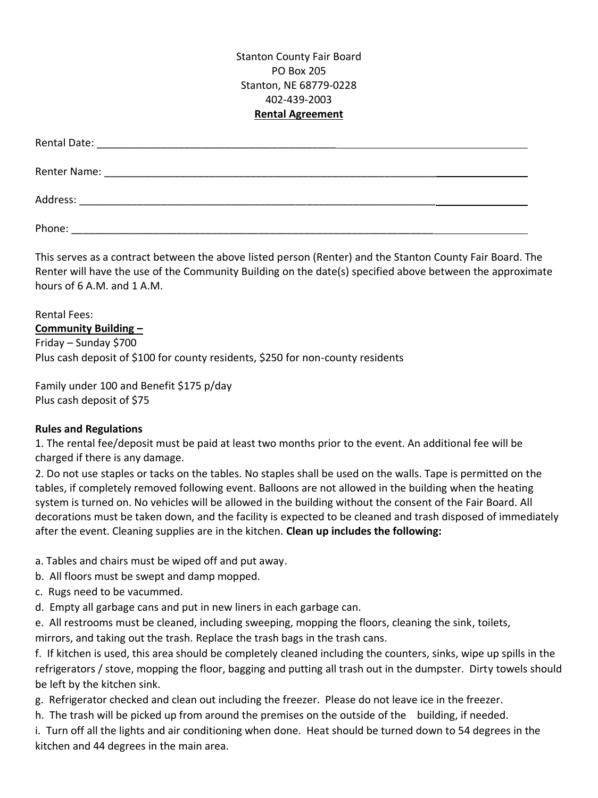Stanton County Fair Board PO Box 205 Stanton, NE 68779-0228 402-439-2003 **Rental Agreement**

| Phone: |  |
|--------|--|

This serves as a contract between the above listed person (Renter) and the Stanton County Fair Board. The Renter will have the use of the Community Building on the date(s) specified above between the approximate hours of 6 A.M. and 1 A.M.

Rental Fees: **Community Building –** Friday – Sunday \$700 Plus cash deposit of \$100 for county residents, \$250 for non-county residents

Family under 100 and Benefit \$175 p/day Plus cash deposit of \$75

## **Rules and Regulations**

1. The rental fee/deposit must be paid at least two months prior to the event. An additional fee will be charged if there is any damage.

2. Do not use staples or tacks on the tables. No staples shall be used on the walls. Tape is permitted on the tables, if completely removed following event. Balloons are not allowed in the building when the heating system is turned on. No vehicles will be allowed in the building without the consent of the Fair Board. All decorations must be taken down, and the facility is expected to be cleaned and trash disposed of immediately after the event. Cleaning supplies are in the kitchen. **Clean up includes the following:**

- a. Tables and chairs must be wiped off and put away.
- b. All floors must be swept and damp mopped.
- c. Rugs need to be vacummed.
- d. Empty all garbage cans and put in new liners in each garbage can.

e. All restrooms must be cleaned, including sweeping, mopping the floors, cleaning the sink, toilets, mirrors, and taking out the trash. Replace the trash bags in the trash cans.

f. If kitchen is used, this area should be completely cleaned including the counters, sinks, wipe up spills in the refrigerators / stove, mopping the floor, bagging and putting all trash out in the dumpster. Dirty towels should be left by the kitchen sink.

- g. Refrigerator checked and clean out including the freezer. Please do not leave ice in the freezer.
- h. The trash will be picked up from around the premises on the outside of the building, if needed.

i. Turn off all the lights and air conditioning when done. Heat should be turned down to 54 degrees in the kitchen and 44 degrees in the main area.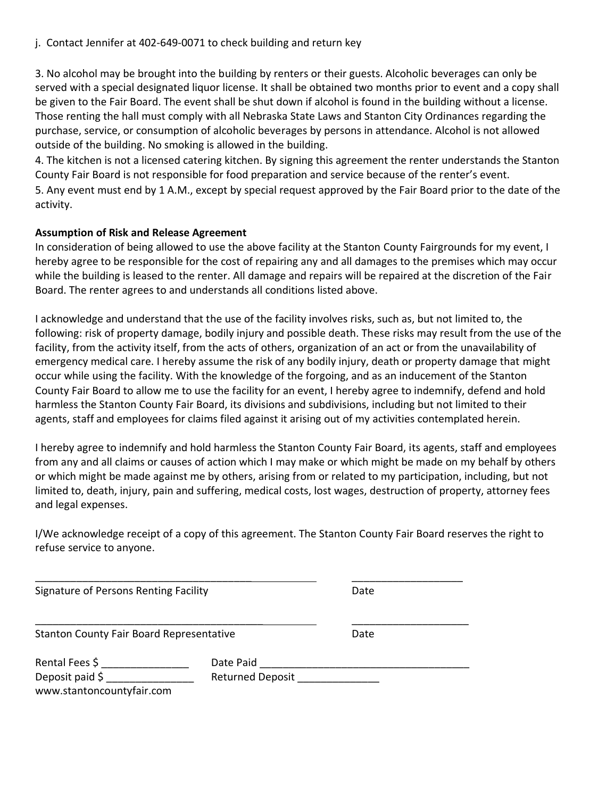j. Contact Jennifer at 402-649-0071 to check building and return key

3. No alcohol may be brought into the building by renters or their guests. Alcoholic beverages can only be served with a special designated liquor license. It shall be obtained two months prior to event and a copy shall be given to the Fair Board. The event shall be shut down if alcohol is found in the building without a license. Those renting the hall must comply with all Nebraska State Laws and Stanton City Ordinances regarding the purchase, service, or consumption of alcoholic beverages by persons in attendance. Alcohol is not allowed outside of the building. No smoking is allowed in the building.

4. The kitchen is not a licensed catering kitchen. By signing this agreement the renter understands the Stanton County Fair Board is not responsible for food preparation and service because of the renter's event.

5. Any event must end by 1 A.M., except by special request approved by the Fair Board prior to the date of the activity.

## **Assumption of Risk and Release Agreement**

In consideration of being allowed to use the above facility at the Stanton County Fairgrounds for my event, I hereby agree to be responsible for the cost of repairing any and all damages to the premises which may occur while the building is leased to the renter. All damage and repairs will be repaired at the discretion of the Fair Board. The renter agrees to and understands all conditions listed above.

I acknowledge and understand that the use of the facility involves risks, such as, but not limited to, the following: risk of property damage, bodily injury and possible death. These risks may result from the use of the facility, from the activity itself, from the acts of others, organization of an act or from the unavailability of emergency medical care. I hereby assume the risk of any bodily injury, death or property damage that might occur while using the facility. With the knowledge of the forgoing, and as an inducement of the Stanton County Fair Board to allow me to use the facility for an event, I hereby agree to indemnify, defend and hold harmless the Stanton County Fair Board, its divisions and subdivisions, including but not limited to their agents, staff and employees for claims filed against it arising out of my activities contemplated herein.

I hereby agree to indemnify and hold harmless the Stanton County Fair Board, its agents, staff and employees from any and all claims or causes of action which I may make or which might be made on my behalf by others or which might be made against me by others, arising from or related to my participation, including, but not limited to, death, injury, pain and suffering, medical costs, lost wages, destruction of property, attorney fees and legal expenses.

I/We acknowledge receipt of a copy of this agreement. The Stanton County Fair Board reserves the right to refuse service to anyone.

| Signature of Persons Renting Facility                          |                                      | Date |  |
|----------------------------------------------------------------|--------------------------------------|------|--|
| <b>Stanton County Fair Board Representative</b>                |                                      | Date |  |
| Rental Fees \$<br>Deposit paid \$<br>www.stantoncountyfair.com | Date Paid<br><b>Returned Deposit</b> |      |  |